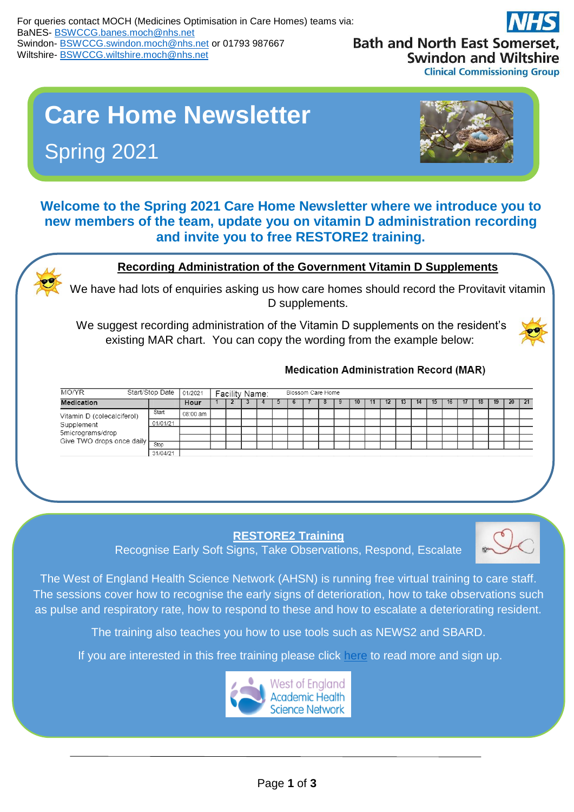**Bath and North East Somerset, Swindon and Wiltshire Clinical Commissioning Group** 

# **Care Home Newsletter**  Spring 2021



**Welcome to the Spring 2021 Care Home Newsletter where we introduce you to new members of the team, update you on vitamin D administration recording and invite you to free RESTORE2 training.**

### **Recording Administration of the Government Vitamin D Supplements**

We have had lots of enquiries asking us how care homes should record the Provitavit vitamin D supplements.

We suggest recording administration of the Vitamin D supplements on the resident's existing MAR chart. You can copy the wording from the example below:



#### **Medication Administration Record (MAR)**

| Start/Stop Date<br>MO/YR                                                                       |          | 01/2021  | Facility Name: |  |  |  | Blossom Care Home |  |  |  |    |     |              |  |    |     |     |              |    |    |    |  |
|------------------------------------------------------------------------------------------------|----------|----------|----------------|--|--|--|-------------------|--|--|--|----|-----|--------------|--|----|-----|-----|--------------|----|----|----|--|
| <b>Medication</b>                                                                              |          | Hour     |                |  |  |  |                   |  |  |  | 10 | ٦1. | $\mathbf{z}$ |  | 14 | 15. | 16. | $\mathbf{1}$ | 18 | 19 | 20 |  |
| Vitamin D (colecalciferol)<br>Supplement<br>5micrograms/drop<br>Give TWO drops once daily Stop | Start    | 08:00 am |                |  |  |  |                   |  |  |  |    |     |              |  |    |     |     |              |    |    |    |  |
|                                                                                                | 01/01/21 |          |                |  |  |  |                   |  |  |  |    |     |              |  |    |     |     |              |    |    |    |  |
|                                                                                                |          |          |                |  |  |  |                   |  |  |  |    |     |              |  |    |     |     |              |    |    |    |  |
|                                                                                                |          |          |                |  |  |  |                   |  |  |  |    |     |              |  |    |     |     |              |    |    |    |  |
|                                                                                                |          |          |                |  |  |  |                   |  |  |  |    |     |              |  |    |     |     |              |    |    |    |  |
|                                                                                                | 31/04/21 |          |                |  |  |  |                   |  |  |  |    |     |              |  |    |     |     |              |    |    |    |  |

**RESTORE2 Training**

Recognise Early Soft Signs, Take Observations, Respond, Escalate



The West of England Health Science Network (AHSN) is running free virtual training to care staff. The sessions cover how to recognise the early signs of deterioration, how to take observations such as pulse and respiratory rate, how to respond to these and how to escalate a deteriorating resident.

The training also teaches you how to use tools such as NEWS2 and SBARD.

If you are interested in this free training please click [here](https://www.weahsn.net/our-work/transforming-services-and-systems/keeping-people-safe-during-and-after-covid-19/training-resources-for-care-homes/) to read more and sign up.

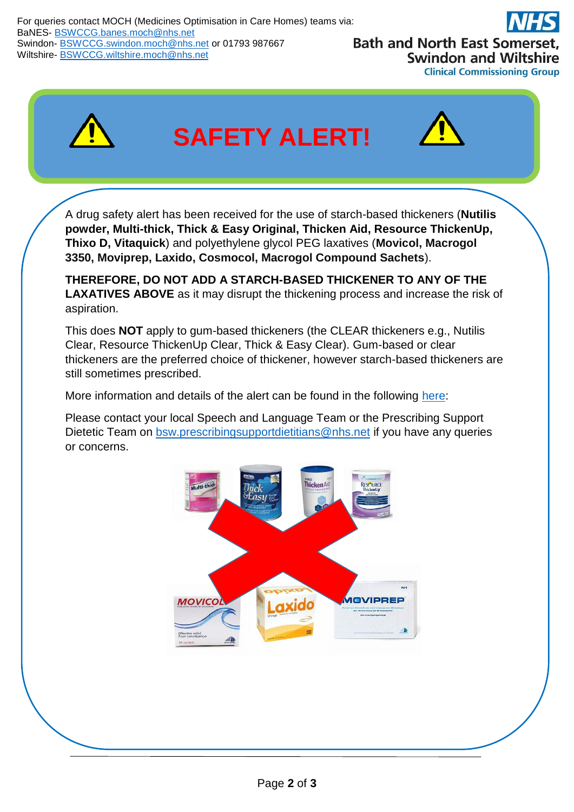



## **SAFETY ALERT!**



A drug safety alert has been received for the use of starch-based thickeners (**Nutilis powder, Multi-thick, Thick & Easy Original, Thicken Aid, Resource ThickenUp, Thixo D, Vitaquick**) and polyethylene glycol PEG laxatives (**Movicol, Macrogol 3350, Moviprep, Laxido, Cosmocol, Macrogol Compound Sachets**).

**THEREFORE, DO NOT ADD A STARCH-BASED THICKENER TO ANY OF THE LAXATIVES ABOVE** as it may disrupt the thickening process and increase the risk of aspiration.

This does **NOT** apply to gum-based thickeners (the CLEAR thickeners e.g., Nutilis Clear, Resource ThickenUp Clear, Thick & Easy Clear). Gum-based or clear thickeners are the preferred choice of thickener, however starch-based thickeners are still sometimes prescribed.

More information and details of the alert can be found in the following [here:](https://www.gov.uk/drug-safety-update/polyethylene-glycol-peg-laxatives-and-starch-based-thickeners-potential-interactive-effect-when-mixed-leading-to-an-increased-risk-of-aspiration?UNLID=4752076572021430132636)

Please contact your local Speech and Language Team or the Prescribing Support Dietetic Team on [bsw.prescribingsupportdietitians@nhs.net](mailto:bsw.prescribingsupportdietitians@nhs.net) if you have any queries or concerns.